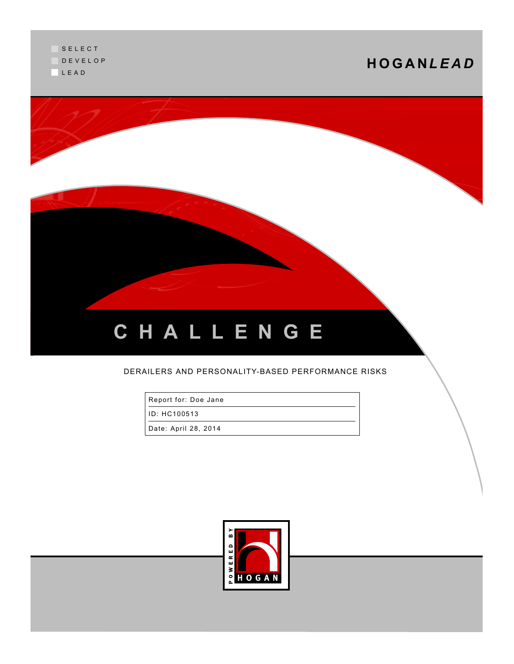

### DERAILERS AND PERSONALITY-BASED PERFORMANCE RISKS

Report for: Doe Jane

ID: HC100513

Date: April 28, 2014

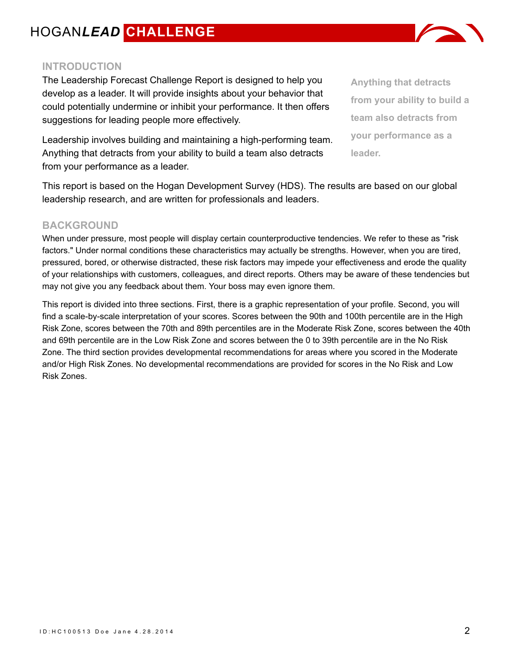### **INTRODUCTION**

The Leadership Forecast Challenge Report is designed to help you develop as a leader. It will provide insights about your behavior that could potentially undermine or inhibit your performance. It then offers suggestions for leading people more effectively.

Leadership involves building and maintaining a high-performing team. Anything that detracts from your ability to build a team also detracts from your performance as a leader.

This report is based on the Hogan Development Survey (HDS). The results are based on our global leadership research, and are written for professionals and leaders.

### **BACKGROUND**

When under pressure, most people will display certain counterproductive tendencies. We refer to these as "risk factors." Under normal conditions these characteristics may actually be strengths. However, when you are tired, pressured, bored, or otherwise distracted, these risk factors may impede your effectiveness and erode the quality of your relationships with customers, colleagues, and direct reports. Others may be aware of these tendencies but may not give you any feedback about them. Your boss may even ignore them.

This report is divided into three sections. First, there is a graphic representation of your profile. Second, you will find a scale-by-scale interpretation of your scores. Scores between the 90th and 100th percentile are in the High Risk Zone, scores between the 70th and 89th percentiles are in the Moderate Risk Zone, scores between the 40th and 69th percentile are in the Low Risk Zone and scores between the 0 to 39th percentile are in the No Risk Zone. The third section provides developmental recommendations for areas where you scored in the Moderate and/or High Risk Zones. No developmental recommendations are provided for scores in the No Risk and Low Risk Zones.



**Anything that detracts**

**from your ability to build a**

**team also detracts from**

**your performance as a**

**leader.**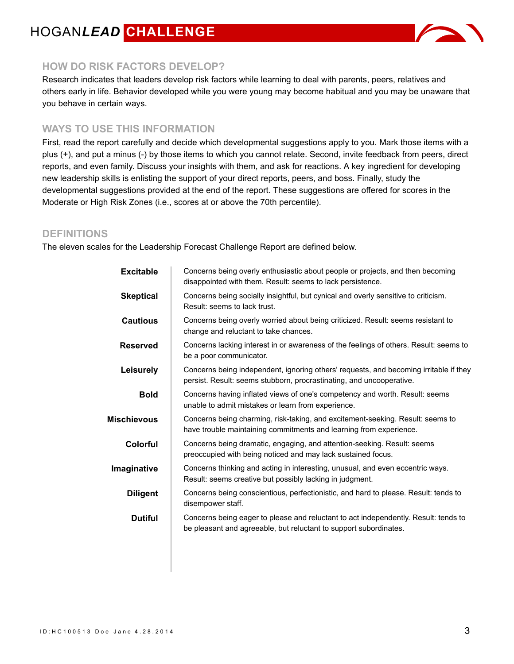

### **HOW DO RISK FACTORS DEVELOP?**

Research indicates that leaders develop risk factors while learning to deal with parents, peers, relatives and others early in life. Behavior developed while you were young may become habitual and you may be unaware that you behave in certain ways.

### **WAYS TO USE THIS INFORMATION**

First, read the report carefully and decide which developmental suggestions apply to you. Mark those items with a plus (+), and put a minus (-) by those items to which you cannot relate. Second, invite feedback from peers, direct reports, and even family. Discuss your insights with them, and ask for reactions. A key ingredient for developing new leadership skills is enlisting the support of your direct reports, peers, and boss. Finally, study the developmental suggestions provided at the end of the report. These suggestions are offered for scores in the Moderate or High Risk Zones (i.e., scores at or above the 70th percentile).

### **DEFINITIONS**

The eleven scales for the Leadership Forecast Challenge Report are defined below.

| Concerns being overly enthusiastic about people or projects, and then becoming<br>disappointed with them. Result: seems to lack persistence.                  |
|---------------------------------------------------------------------------------------------------------------------------------------------------------------|
| Concerns being socially insightful, but cynical and overly sensitive to criticism.<br>Result: seems to lack trust.                                            |
| Concerns being overly worried about being criticized. Result: seems resistant to<br>change and reluctant to take chances.                                     |
| Concerns lacking interest in or awareness of the feelings of others. Result: seems to<br>be a poor communicator.                                              |
| Concerns being independent, ignoring others' requests, and becoming irritable if they<br>persist. Result: seems stubborn, procrastinating, and uncooperative. |
| Concerns having inflated views of one's competency and worth. Result: seems<br>unable to admit mistakes or learn from experience.                             |
| Concerns being charming, risk-taking, and excitement-seeking. Result: seems to<br>have trouble maintaining commitments and learning from experience.          |
| Concerns being dramatic, engaging, and attention-seeking. Result: seems<br>preoccupied with being noticed and may lack sustained focus.                       |
| Concerns thinking and acting in interesting, unusual, and even eccentric ways.<br>Result: seems creative but possibly lacking in judgment.                    |
| Concerns being conscientious, perfectionistic, and hard to please. Result: tends to<br>disempower staff.                                                      |
| Concerns being eager to please and reluctant to act independently. Result: tends to<br>be pleasant and agreeable, but reluctant to support subordinates.      |
|                                                                                                                                                               |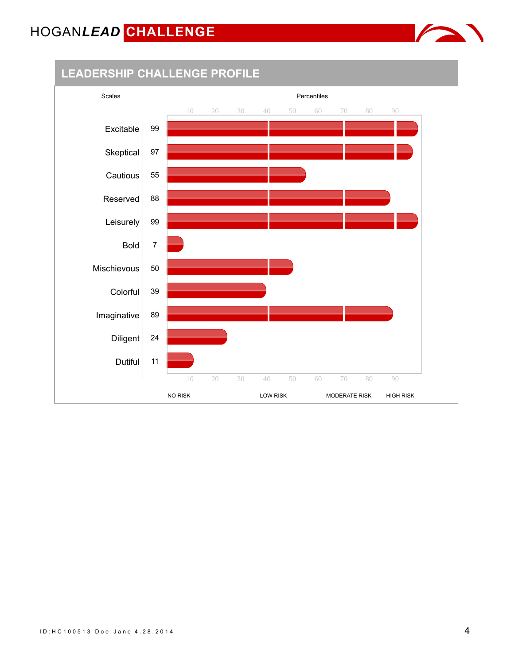

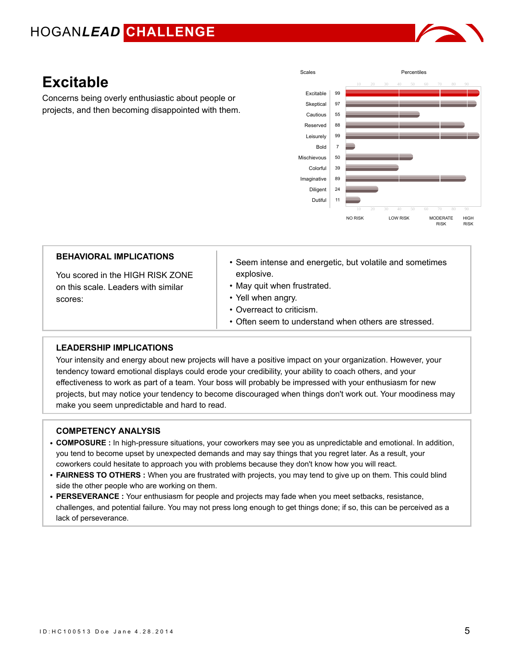

### **Excitable**

Concerns being overly enthusiastic about people or projects, and then becoming disappointed with them.



| <b>BEHAVIORAL IMPLICATIONS</b>                                                     | • Seem intense and energetic, but volatile and sometimes                                                                                             |
|------------------------------------------------------------------------------------|------------------------------------------------------------------------------------------------------------------------------------------------------|
| You scored in the HIGH RISK ZONE<br>on this scale. Leaders with similar<br>scores: | explosive.<br>• May quit when frustrated.<br>• Yell when angry.<br>• Overreact to criticism.<br>• Often seem to understand when others are stressed. |

### **LEADERSHIP IMPLICATIONS**

Your intensity and energy about new projects will have a positive impact on your organization. However, your tendency toward emotional displays could erode your credibility, your ability to coach others, and your effectiveness to work as part of a team. Your boss will probably be impressed with your enthusiasm for new projects, but may notice your tendency to become discouraged when things don't work out. Your moodiness may make you seem unpredictable and hard to read.

- **COMPOSURE :** In high-pressure situations, your coworkers may see you as unpredictable and emotional. In addition, you tend to become upset by unexpected demands and may say things that you regret later. As a result, your coworkers could hesitate to approach you with problems because they don't know how you will react.
- **FAIRNESS TO OTHERS :** When you are frustrated with projects, you may tend to give up on them. This could blind side the other people who are working on them.
- **PERSEVERANCE :** Your enthusiasm for people and projects may fade when you meet setbacks, resistance, challenges, and potential failure. You may not press long enough to get things done; if so, this can be perceived as a lack of perseverance.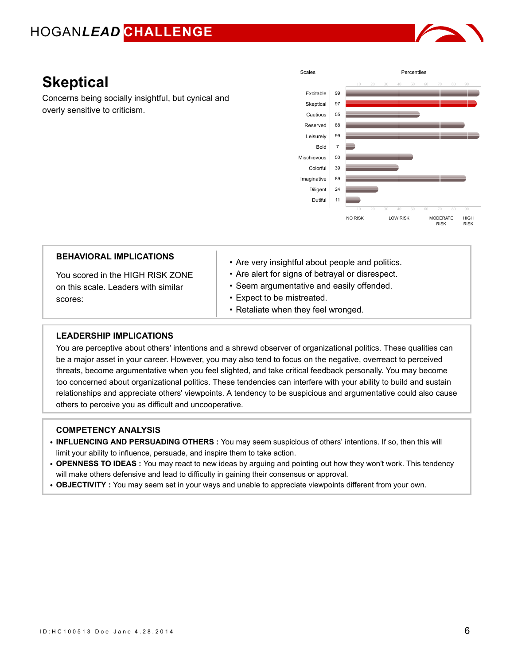

### **Skeptical**

Concerns being socially insightful, but cynical and overly sensitive to criticism.



| <b>BEHAVIORAL IMPLICATIONS</b>                                                     | • Are very insightful about people and politics.                                                                                                                   |
|------------------------------------------------------------------------------------|--------------------------------------------------------------------------------------------------------------------------------------------------------------------|
| You scored in the HIGH RISK ZONE<br>on this scale. Leaders with similar<br>scores: | • Are alert for signs of betrayal or disrespect.<br>• Seem argumentative and easily offended.<br>• Expect to be mistreated.<br>• Retaliate when they feel wronged. |
| LEADERSHIP IMPLICATIONS                                                            |                                                                                                                                                                    |
|                                                                                    |                                                                                                                                                                    |

You are perceptive about others' intentions and a shrewd observer of organizational politics. These qualities can be a major asset in your career. However, you may also tend to focus on the negative, overreact to perceived threats, become argumentative when you feel slighted, and take critical feedback personally. You may become too concerned about organizational politics. These tendencies can interfere with your ability to build and sustain relationships and appreciate others' viewpoints. A tendency to be suspicious and argumentative could also cause others to perceive you as difficult and uncooperative.

- **INFLUENCING AND PERSUADING OTHERS :** You may seem suspicious of others' intentions. If so, then this will limit your ability to influence, persuade, and inspire them to take action.
- **OPENNESS TO IDEAS :** You may react to new ideas by arguing and pointing out how they won't work. This tendency will make others defensive and lead to difficulty in gaining their consensus or approval.
- **OBJECTIVITY :** You may seem set in your ways and unable to appreciate viewpoints different from your own.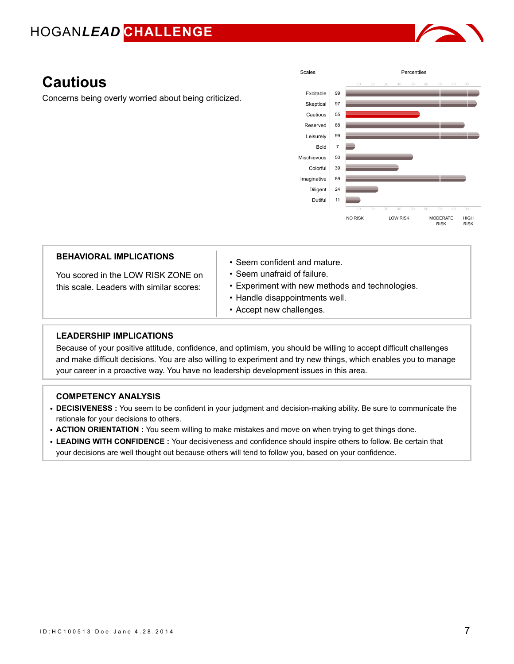

### **Cautious**

Concerns being overly worried about being criticized.



| <b>BEHAVIORAL IMPLICATIONS</b><br>You scored in the LOW RISK ZONE on<br>this scale. Leaders with similar scores: | $\cdot$ Seem confident and mature.<br>$\cdot$ Seem unafraid of failure.<br>• Experiment with new methods and technologies.<br>• Handle disappointments well.<br>• Accept new challenges. |
|------------------------------------------------------------------------------------------------------------------|------------------------------------------------------------------------------------------------------------------------------------------------------------------------------------------|
| <b>LEADERSHIP IMPLICATIONS</b>                                                                                   |                                                                                                                                                                                          |

Because of your positive attitude, confidence, and optimism, you should be willing to accept difficult challenges and make difficult decisions. You are also willing to experiment and try new things, which enables you to manage your career in a proactive way. You have no leadership development issues in this area.

- **DECISIVENESS :** You seem to be confident in your judgment and decision-making ability. Be sure to communicate the rationale for your decisions to others.
- **ACTION ORIENTATION :** You seem willing to make mistakes and move on when trying to get things done.
- **LEADING WITH CONFIDENCE :** Your decisiveness and confidence should inspire others to follow. Be certain that your decisions are well thought out because others will tend to follow you, based on your confidence.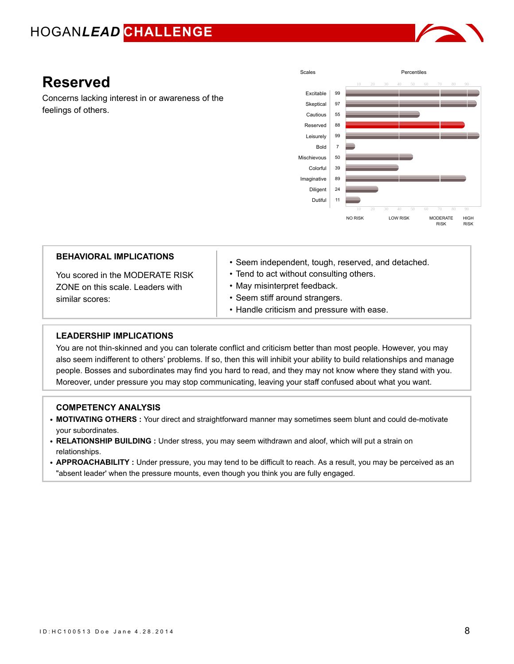

### **Reserved**

Concerns lacking interest in or awareness of the feelings of others.



| <b>BEHAVIORAL IMPLICATIONS</b> |
|--------------------------------|
|--------------------------------|

You scored in the MODERATE RISK ZONE on this scale. Leaders with similar scores:

- Seem independent, tough, reserved, and detached.
- Tend to act without consulting others.
- May misinterpret feedback.
- Seem stiff around strangers.
- Handle criticism and pressure with ease.

#### **LEADERSHIP IMPLICATIONS**

You are not thin-skinned and you can tolerate conflict and criticism better than most people. However, you may also seem indifferent to others' problems. If so, then this will inhibit your ability to build relationships and manage people. Bosses and subordinates may find you hard to read, and they may not know where they stand with you. Moreover, under pressure you may stop communicating, leaving your staff confused about what you want.

- **MOTIVATING OTHERS :** Your direct and straightforward manner may sometimes seem blunt and could de-motivate your subordinates.
- **RELATIONSHIP BUILDING :** Under stress, you may seem withdrawn and aloof, which will put a strain on relationships.
- **APPROACHABILITY :** Under pressure, you may tend to be difficult to reach. As a result, you may be perceived as an "absent leader' when the pressure mounts, even though you think you are fully engaged.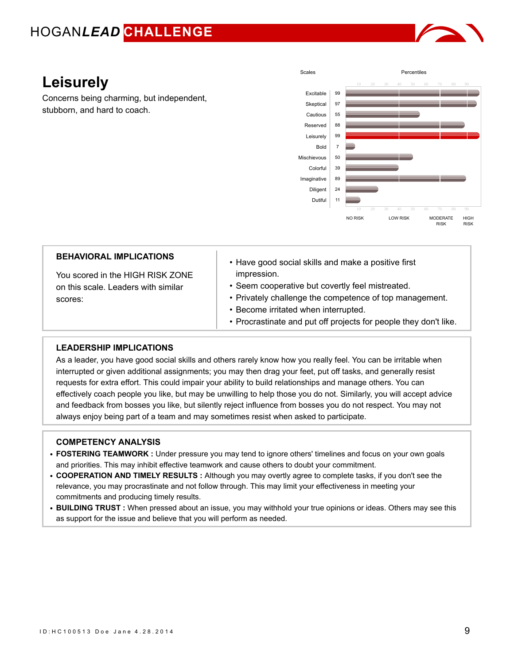

## **Leisurely**

Concerns being charming, but independent, stubborn, and hard to coach.



| <b>BEHAVIORAL IMPLICATIONS</b>      | • Have good social skills and make a positive first              |
|-------------------------------------|------------------------------------------------------------------|
| You scored in the HIGH RISK ZONE    | impression.                                                      |
| on this scale. Leaders with similar | • Seem cooperative but covertly feel mistreated.                 |
| scores:                             | • Privately challenge the competence of top management.          |
|                                     | • Become irritated when interrupted.                             |
|                                     | • Procrastinate and put off projects for people they don't like. |

### **LEADERSHIP IMPLICATIONS**

As a leader, you have good social skills and others rarely know how you really feel. You can be irritable when interrupted or given additional assignments; you may then drag your feet, put off tasks, and generally resist requests for extra effort. This could impair your ability to build relationships and manage others. You can effectively coach people you like, but may be unwilling to help those you do not. Similarly, you will accept advice and feedback from bosses you like, but silently reject influence from bosses you do not respect. You may not always enjoy being part of a team and may sometimes resist when asked to participate.

- **FOSTERING TEAMWORK :** Under pressure you may tend to ignore others' timelines and focus on your own goals and priorities. This may inhibit effective teamwork and cause others to doubt your commitment.
- **COOPERATION AND TIMELY RESULTS :** Although you may overtly agree to complete tasks, if you don't see the relevance, you may procrastinate and not follow through. This may limit your effectiveness in meeting your commitments and producing timely results.
- **BUILDING TRUST :** When pressed about an issue, you may withhold your true opinions or ideas. Others may see this as support for the issue and believe that you will perform as needed.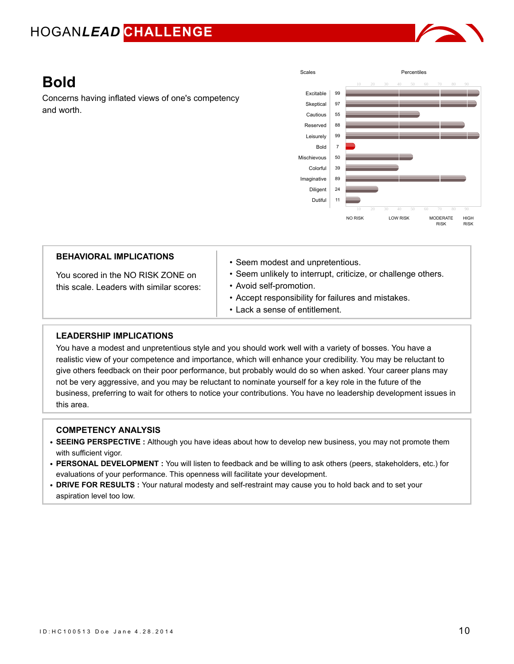

### **Bold**

Concerns having inflated views of one's competency and worth.



| <b>BEHAVIORAL IMPLICATIONS</b><br>You scored in the NO RISK ZONE on<br>this scale. Leaders with similar scores: | • Seem modest and unpretentious.<br>• Seem unlikely to interrupt, criticize, or challenge others.<br>• Avoid self-promotion.<br>• Accept responsibility for failures and mistakes.<br>• Lack a sense of entitlement. |
|-----------------------------------------------------------------------------------------------------------------|----------------------------------------------------------------------------------------------------------------------------------------------------------------------------------------------------------------------|
| <b>LEADERSHIP IMPLICATIONS</b>                                                                                  |                                                                                                                                                                                                                      |

You have a modest and unpretentious style and you should work well with a variety of bosses. You have a realistic view of your competence and importance, which will enhance your credibility. You may be reluctant to give others feedback on their poor performance, but probably would do so when asked. Your career plans may not be very aggressive, and you may be reluctant to nominate yourself for a key role in the future of the business, preferring to wait for others to notice your contributions. You have no leadership development issues in this area.

- **SEEING PERSPECTIVE :** Although you have ideas about how to develop new business, you may not promote them with sufficient vigor.
- **PERSONAL DEVELOPMENT :** You will listen to feedback and be willing to ask others (peers, stakeholders, etc.) for evaluations of your performance. This openness will facilitate your development.
- **DRIVE FOR RESULTS :** Your natural modesty and self-restraint may cause you to hold back and to set your aspiration level too low.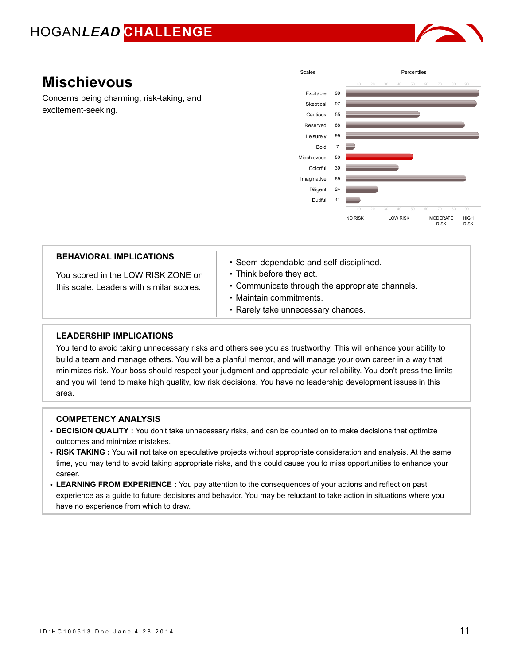

### **Mischievous**

Concerns being charming, risk-taking, and excitement-seeking.



| <b>BEHAVIORAL IMPLICATIONS</b><br>You scored in the LOW RISK ZONE on<br>this scale. Leaders with similar scores: | • Seem dependable and self-disciplined.<br>• Think before they act.<br>• Communicate through the appropriate channels.<br>• Maintain commitments.<br>• Rarely take unnecessary chances. |
|------------------------------------------------------------------------------------------------------------------|-----------------------------------------------------------------------------------------------------------------------------------------------------------------------------------------|
| <b>EADERSHIP IMPLICATIONS</b>                                                                                    |                                                                                                                                                                                         |

#### **LEADERSHIP IMPLICATIONS**

You tend to avoid taking unnecessary risks and others see you as trustworthy. This will enhance your ability to build a team and manage others. You will be a planful mentor, and will manage your own career in a way that minimizes risk. Your boss should respect your judgment and appreciate your reliability. You don't press the limits and you will tend to make high quality, low risk decisions. You have no leadership development issues in this area.

- **DECISION QUALITY :** You don't take unnecessary risks, and can be counted on to make decisions that optimize outcomes and minimize mistakes.
- **RISK TAKING :** You will not take on speculative projects without appropriate consideration and analysis. At the same time, you may tend to avoid taking appropriate risks, and this could cause you to miss opportunities to enhance your career.
- **LEARNING FROM EXPERIENCE :** You pay attention to the consequences of your actions and reflect on past experience as a guide to future decisions and behavior. You may be reluctant to take action in situations where you have no experience from which to draw.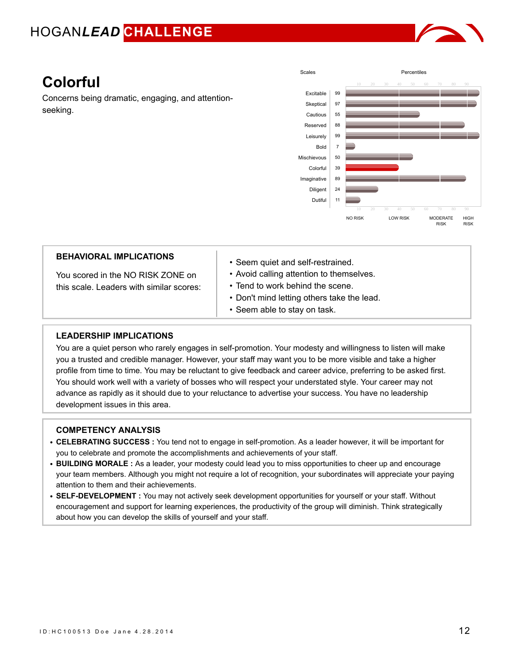

## **Colorful**

Concerns being dramatic, engaging, and attentionseeking.



| <b>BEHAVIORAL IMPLICATIONS</b><br>You scored in the NO RISK ZONE on<br>this scale. Leaders with similar scores: | • Seem quiet and self-restrained.<br>• Avoid calling attention to themselves.<br>• Tend to work behind the scene.<br>• Don't mind letting others take the lead.<br>• Seem able to stay on task. |
|-----------------------------------------------------------------------------------------------------------------|-------------------------------------------------------------------------------------------------------------------------------------------------------------------------------------------------|
|                                                                                                                 |                                                                                                                                                                                                 |
| LEADERSHIP IMPLICATIONS                                                                                         |                                                                                                                                                                                                 |

You are a quiet person who rarely engages in self-promotion. Your modesty and willingness to listen will make you a trusted and credible manager. However, your staff may want you to be more visible and take a higher profile from time to time. You may be reluctant to give feedback and career advice, preferring to be asked first. You should work well with a variety of bosses who will respect your understated style. Your career may not advance as rapidly as it should due to your reluctance to advertise your success. You have no leadership development issues in this area.

- **CELEBRATING SUCCESS :** You tend not to engage in self-promotion. As a leader however, it will be important for you to celebrate and promote the accomplishments and achievements of your staff.
- **BUILDING MORALE :** As a leader, your modesty could lead you to miss opportunities to cheer up and encourage your team members. Although you might not require a lot of recognition, your subordinates will appreciate your paying attention to them and their achievements.
- **SELF-DEVELOPMENT :** You may not actively seek development opportunities for yourself or your staff. Without encouragement and support for learning experiences, the productivity of the group will diminish. Think strategically about how you can develop the skills of yourself and your staff.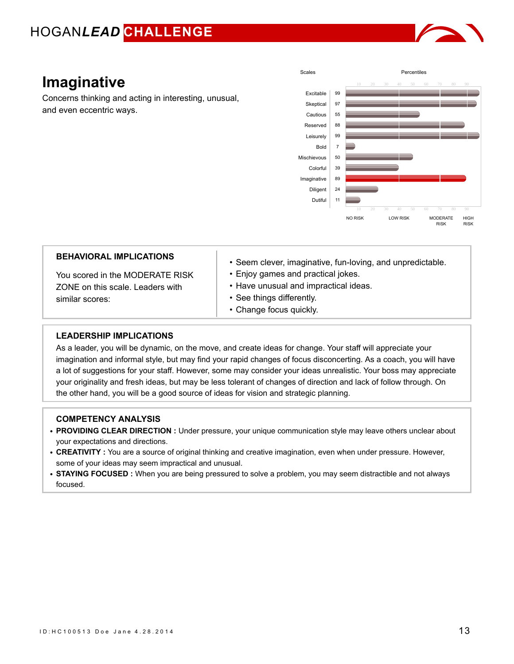

### **Imaginative**

Concerns thinking and acting in interesting, unusual, and even eccentric ways.



| <b>BEHAVIORAL IMPLICATIONS</b><br>You scored in the MODERATE RISK<br>ZONE on this scale. Leaders with<br>similar scores: | • Seem clever, imaginative, fun-loving, and unpredictable.<br>• Enjoy games and practical jokes.<br>• Have unusual and impractical ideas.<br>• See things differently. |
|--------------------------------------------------------------------------------------------------------------------------|------------------------------------------------------------------------------------------------------------------------------------------------------------------------|
|                                                                                                                          | • Change focus quickly.                                                                                                                                                |
|                                                                                                                          |                                                                                                                                                                        |
| <b>EAREBOUR IMBLICATIONS</b>                                                                                             |                                                                                                                                                                        |

#### **LEADERSHIP IMPLICATIONS**

As a leader, you will be dynamic, on the move, and create ideas for change. Your staff will appreciate your imagination and informal style, but may find your rapid changes of focus disconcerting. As a coach, you will have a lot of suggestions for your staff. However, some may consider your ideas unrealistic. Your boss may appreciate your originality and fresh ideas, but may be less tolerant of changes of direction and lack of follow through. On the other hand, you will be a good source of ideas for vision and strategic planning.

- **PROVIDING CLEAR DIRECTION :** Under pressure, your unique communication style may leave others unclear about your expectations and directions.
- **CREATIVITY :** You are a source of original thinking and creative imagination, even when under pressure. However, some of your ideas may seem impractical and unusual.
- **STAYING FOCUSED :** When you are being pressured to solve a problem, you may seem distractible and not always focused.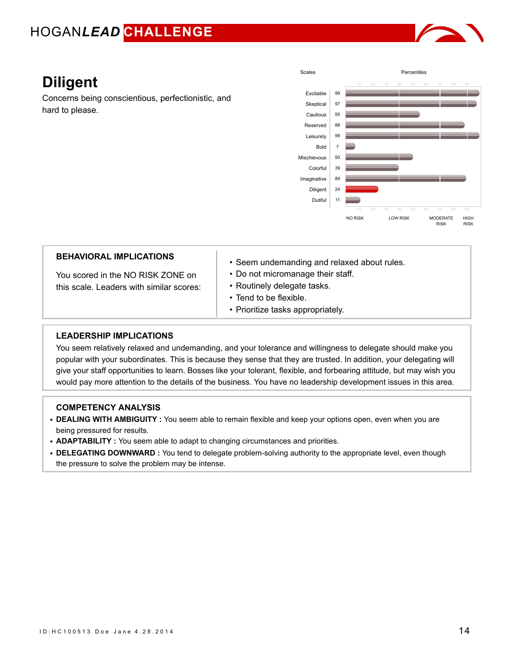

# **Diligent**

Concerns being conscientious, perfectionistic, and hard to please.



| this scale. Leaders with similar scores:<br><b>LEADERSHIP IMPLICATIONS</b> | • Routinely delegate tasks.<br>• Tend to be flexible.<br>• Prioritize tasks appropriately. |
|----------------------------------------------------------------------------|--------------------------------------------------------------------------------------------|
| <b>BEHAVIORAL IMPLICATIONS</b>                                             | • Seem undemanding and relaxed about rules.                                                |
| You scored in the NO RISK ZONE on                                          | • Do not micromanage their staff.                                                          |

You seem relatively relaxed and undemanding, and your tolerance and willingness to delegate should make you popular with your subordinates. This is because they sense that they are trusted. In addition, your delegating will give your staff opportunities to learn. Bosses like your tolerant, flexible, and forbearing attitude, but may wish you would pay more attention to the details of the business. You have no leadership development issues in this area.

- **DEALING WITH AMBIGUITY :** You seem able to remain flexible and keep your options open, even when you are being pressured for results.
- **ADAPTABILITY :** You seem able to adapt to changing circumstances and priorities.
- **DELEGATING DOWNWARD :** You tend to delegate problem-solving authority to the appropriate level, even though the pressure to solve the problem may be intense.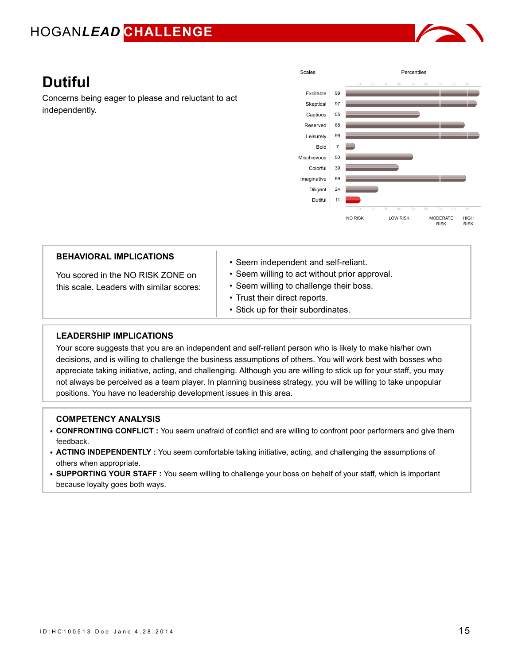

# **Dutiful**

Concerns being eager to please and reluctant to act independently.



| <b>BEHAVIORAL IMPLICATIONS</b> |  |
|--------------------------------|--|
|--------------------------------|--|

You scored in the NO RISK ZONE on this scale. Leaders with similar scores:

- Seem independent and self-reliant.
- Seem willing to act without prior approval.
- Seem willing to challenge their boss.
- Trust their direct reports.
- Stick up for their subordinates.

### **LEADERSHIP IMPLICATIONS**

Your score suggests that you are an independent and self-reliant person who is likely to make his/her own decisions, and is willing to challenge the business assumptions of others. You will work best with bosses who appreciate taking initiative, acting, and challenging. Although you are willing to stick up for your staff, you may not always be perceived as a team player. In planning business strategy, you will be willing to take unpopular positions. You have no leadership development issues in this area.

- **CONFRONTING CONFLICT :** You seem unafraid of conflict and are willing to confront poor performers and give them feedback.
- **ACTING INDEPENDENTLY :** You seem comfortable taking initiative, acting, and challenging the assumptions of others when appropriate.
- **SUPPORTING YOUR STAFF :** You seem willing to challenge your boss on behalf of your staff, which is important because loyalty goes both ways.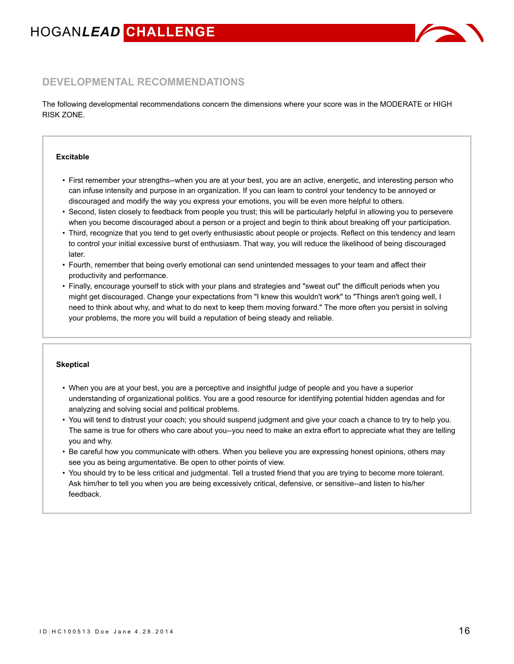

### **DEVELOPMENTAL RECOMMENDATIONS**

The following developmental recommendations concern the dimensions where your score was in the MODERATE or HIGH RISK ZONE.

#### **Excitable**

- First remember your strengths--when you are at your best, you are an active, energetic, and interesting person who can infuse intensity and purpose in an organization. If you can learn to control your tendency to be annoyed or discouraged and modify the way you express your emotions, you will be even more helpful to others.
- Second, listen closely to feedback from people you trust; this will be particularly helpful in allowing you to persevere when you become discouraged about a person or a project and begin to think about breaking off your participation.
- Third, recognize that you tend to get overly enthusiastic about people or projects. Reflect on this tendency and learn to control your initial excessive burst of enthusiasm. That way, you will reduce the likelihood of being discouraged later.
- Fourth, remember that being overly emotional can send unintended messages to your team and affect their productivity and performance.
- Finally, encourage yourself to stick with your plans and strategies and "sweat out" the difficult periods when you might get discouraged. Change your expectations from "I knew this wouldn't work" to "Things aren't going well, I need to think about why, and what to do next to keep them moving forward." The more often you persist in solving your problems, the more you will build a reputation of being steady and reliable.

#### **Skeptical**

- When you are at your best, you are a perceptive and insightful judge of people and you have a superior understanding of organizational politics. You are a good resource for identifying potential hidden agendas and for analyzing and solving social and political problems.
- You will tend to distrust your coach; you should suspend judgment and give your coach a chance to try to help you. The same is true for others who care about you--you need to make an extra effort to appreciate what they are telling you and why.
- Be careful how you communicate with others. When you believe you are expressing honest opinions, others may see you as being argumentative. Be open to other points of view.
- You should try to be less critical and judgmental. Tell a trusted friend that you are trying to become more tolerant. Ask him/her to tell you when you are being excessively critical, defensive, or sensitive--and listen to his/her feedback.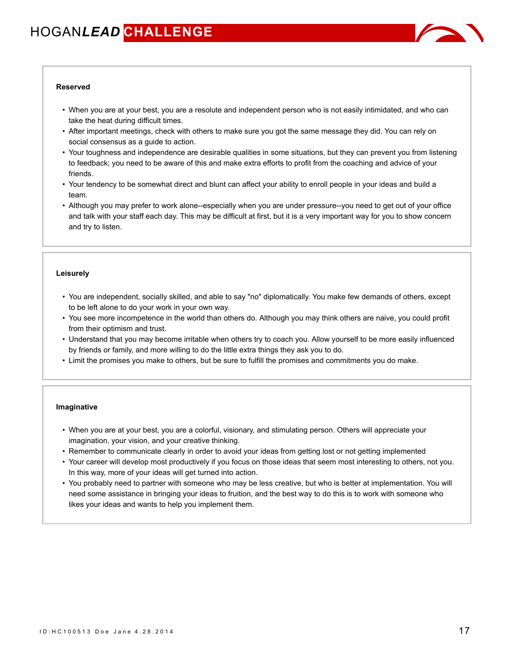

#### **Reserved**

- When you are at your best, you are a resolute and independent person who is not easily intimidated, and who can take the heat during difficult times.
- After important meetings, check with others to make sure you got the same message they did. You can rely on social consensus as a guide to action.
- Your toughness and independence are desirable qualities in some situations, but they can prevent you from listening to feedback; you need to be aware of this and make extra efforts to profit from the coaching and advice of your friends.
- Your tendency to be somewhat direct and blunt can affect your ability to enroll people in your ideas and build a team.
- Although you may prefer to work alone--especially when you are under pressure--you need to get out of your office and talk with your staff each day. This may be difficult at first, but it is a very important way for you to show concern and try to listen.

#### **Leisurely**

- You are independent, socially skilled, and able to say "no" diplomatically. You make few demands of others, except to be left alone to do your work in your own way.
- You see more incompetence in the world than others do. Although you may think others are naive, you could profit from their optimism and trust.
- Understand that you may become irritable when others try to coach you. Allow yourself to be more easily influenced by friends or family, and more willing to do the little extra things they ask you to do.
- Limit the promises you make to others, but be sure to fulfill the promises and commitments you do make.

#### **Imaginative**

- When you are at your best, you are a colorful, visionary, and stimulating person. Others will appreciate your imagination, your vision, and your creative thinking.
- Remember to communicate clearly in order to avoid your ideas from getting lost or not getting implemented
- Your career will develop most productively if you focus on those ideas that seem most interesting to others, not you. In this way, more of your ideas will get turned into action.
- You probably need to partner with someone who may be less creative, but who is better at implementation. You will need some assistance in bringing your ideas to fruition, and the best way to do this is to work with someone who likes your ideas and wants to help you implement them.